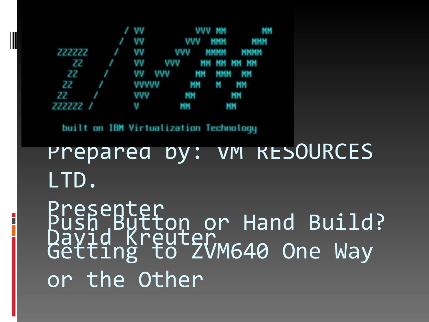### Push Button or Hand Build? Getting to ZVM640 One Way or the Other LTD. Presenter David Kreuter

Prepared by: VM RESOURCES

built on IBM Virtualization Technology

|                           | / VV |  | VVV MM MM        |
|---------------------------|------|--|------------------|
|                           |      |  | / VV VVV MMM MMM |
| 222222 / VV VVV MMMM MMMM |      |  |                  |
| 22 / VV VVV MMMMMMMM      |      |  |                  |
| 22 / VV VVV MM MMM MM     |      |  |                  |
| 22 / VVVVV MM M MM        |      |  |                  |
| 22 / VVV MM MM            |      |  |                  |
| 222222 / V MM MM          |      |  |                  |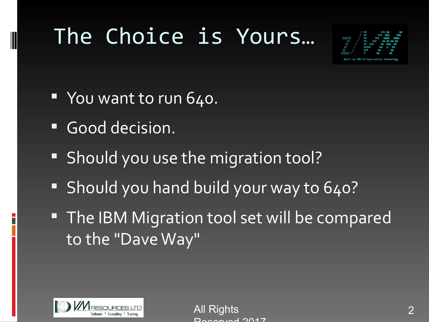# The Choice is Yours…



- You want to run 640.
- Good decision.
- **Should you use the migration tool?**
- Should you hand build your way to 640?
- **The IBM Migration tool set will be compared** to the "Dave Way"



**All Rights** Deserved 2017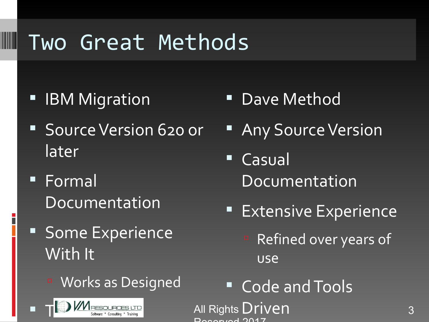# Two Great Methods

**E** IBM Migration **CONDANGE IBM Migration** 

W

- **Source Version 620 or** later
- **Formal** Documentation
- **Some Experience** With It
	- Works as Designed



- 
- **Any Source Version**
- Casual Documentation
- **Extensive Experience** 
	- Refined over years of use
- Code and Tools

All Rights Driven and the state of the state of the state of the state of the state of the state of the state Doganical 0017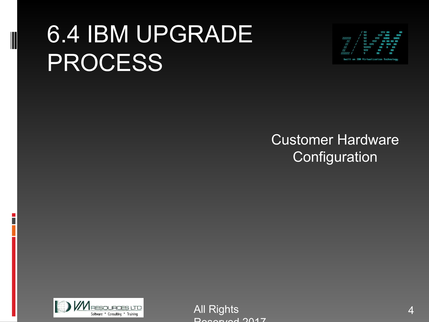# 6.4 IBM UPGRADE PROCESS



#### Customer Hardware **Configuration**



**All Rights** Deserved 2017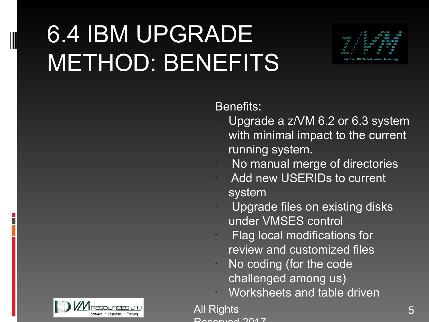# 6.4 IBM UPGRADE METHOD: BENEFITS



#### Benefits:

- Upgrade a z/VM 6.2 or 6.3 system with minimal impact to the current running system.
- No manual merge of directories Add new USERIDs to current system
- Upgrade files on existing disks under VMSES control
- Flag local modifications for review and customized files
- No coding (for the code challenged among us)
- Worksheets and table driven



**All Rights** Deserved 2017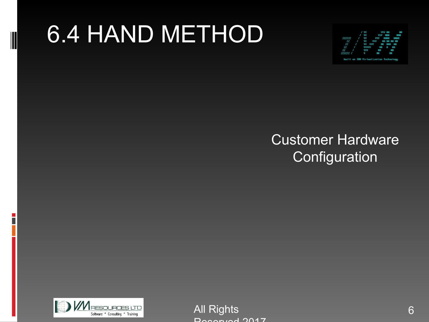# 6.4 HAND METHOD



#### Customer Hardware **Configuration**



All Rights Deserved 2017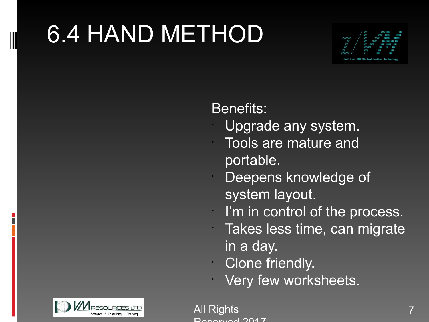# 6.4 HAND METHOD



Benefits:

- Upgrade any system.
- Tools are mature and portable.
- Deepens knowledge of system layout.
- I'm in control of the process.
- Takes less time, can migrate in a day.
- Clone friendly.
- Very few worksheets.



All Rights Deserved 2017

•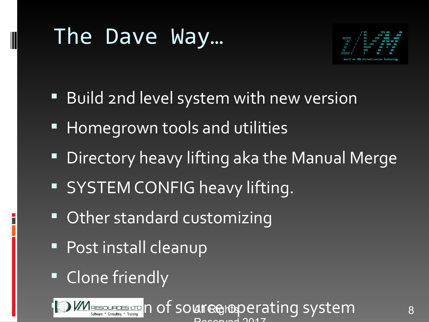# The Dave Way…



- Build 2nd level system with new version
- **Homegrown tools and utilities**
- **Directory heavy lifting aka the Manual Merge**
- **SYSTEM CONFIG heavy lifting.**
- **Other standard customizing**
- **Post install cleanup**
- **Clone friendly**

WERESQUEGES LTD | Of SOUT RGHODE TATING SYSTEM 8 Deserved 2017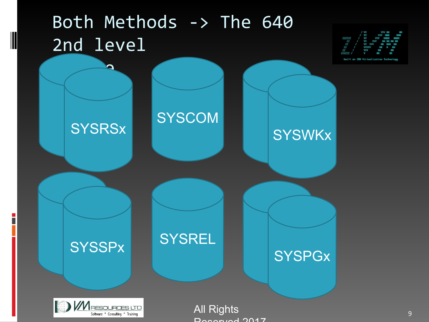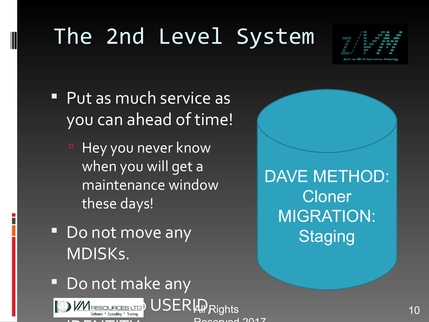# The 2nd Level System



- Put as much service as you can ahead of time!
	- <sup>n</sup> Hey you never know when you will get a maintenance window these days!
- Do not move any MDISKs.

DAVE METHOD: Cloner MIGRATION: **Staging** 

Do not make any



Deserved 2017

**All/**Rights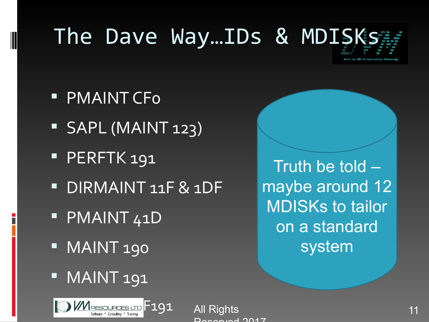# The Dave Way...IDs & MDISK

- **PMAINT CFo**
- SAPL (MAINT 123)
- **PERFTK 191**
- DIRMAINT 11F & 1DF
- **PMAINT 41D**
- **MAINT 190**
- MAINT 191



All Rights Dogenical 0017

Truth be told – maybe around 12 MDISKs to tailor on a standard system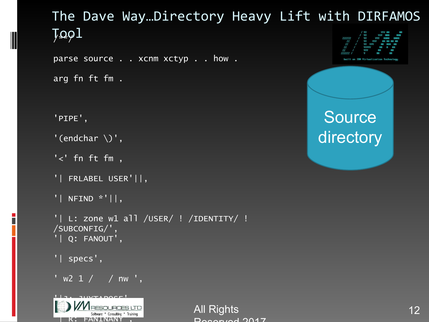#### The Dave Way…Directory Heavy Lift with DIRFAMOS  $J\Omega Q1$

parse source . . xcnm xctyp . . how .

arg fn ft fm .

'PIPE',

'(endchar  $\setminus$ )',

```
'<' fn ft fm ,
```

```
'| FRLABEL USER'||,
```

```
'| NFIND *'||,
```

```
'| L: zone w1 all /USER/ ! /IDENTITY/ !
/SUBCONFIG/', 
'| Q: FANOUT',
```

```
'| specs',
```
 $'$  w2 1  $/$  / nw  $',$ 



All Rights **12** Deserved 2017



### **Source** directory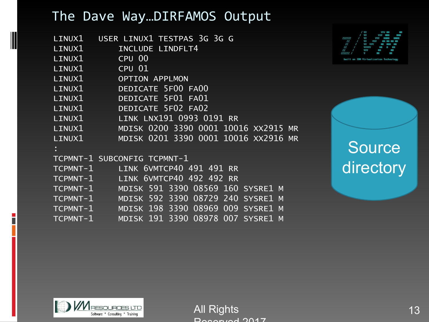#### The Dave Way…DIRFAMOS Output

|        | LINUX1 USER LINUX1 TESTPAS 3G 3G G          |
|--------|---------------------------------------------|
| LINUX1 | INCLUDE LINDFLT4                            |
| LINUX1 | CPU 00                                      |
| LINUX1 | $CPU$ $01$                                  |
| LINUX1 | <b>OPTION APPLMON</b>                       |
|        | LINUX1 DEDICATE 5F00 FA00                   |
|        | LINUX1 DEDICATE 5F01 FA01                   |
|        | LINUX1 DEDICATE 5F02 FA02                   |
|        | LINUX1 LINK LNX191 0993 0191 RR             |
| LINUX1 | MDISK 0200 3390 0001 10016 XX2915 MR        |
|        | LINUX1 MDISK 0201 3390 0001 10016 XX2916 MR |
|        |                                             |
|        | TCPMNT-1 SUBCONFIG TCPMNT-1                 |
|        | TCPMNT-1 LINK 6VMTCP40 491 491 RR           |
|        | TCPMNT-1 LINK 6VMTCP40 492 492 RR           |
|        | TCPMNT-1 MDISK 591 3390 08569 160 SYSRE1 M  |
|        | TCPMNT-1 MDISK 592 3390 08729 240 SYSRE1 M  |
|        | TCPMNT-1 MDISK 198 3390 08969 009 SYSRE1 M  |
|        | TCPMNT-1 MDISK 191 3390 08978 007 SYSRE1 M  |



**Source** directory



All Rights 13 Reserved 2017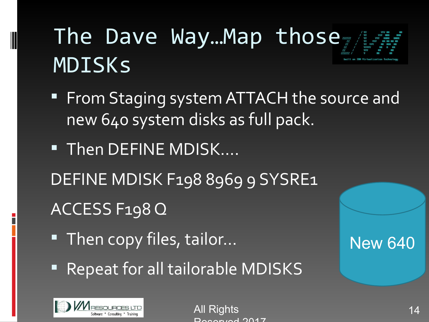# The Dave Way... Map those MDISKs

- **FICOM Staging system ATTACH the source and** new 640 system disks as full pack.
- **Then DEFINE MDISK….** DEFINE MDISK F198 8969 9 SYSRE1 ACCESS F198 Q
- Then copy files, tailor...
- **Repeat for all tailorable MDISKS**



All Rights 14 and 2008, the 14 and 2008 14 and 2018 14 and 2018 14 and 2018 14 and 2018 14 and 2018 14 and 201 Deserved 2017

New 640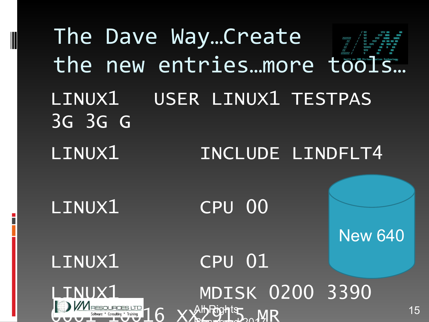The Dave Way…Create the new entries…more tools... LINUX1 USER LINUX1 TESTPAS 3G 3G G LINUX1 INCLUDE LINDFLT4 LINUX1 CPU 00 LINUX1 CPU 01 LINUX1 MDISK 0200 3390 **OUUL Software : Consulting : Training** 16 XX29115 MR AlbRights ND  $D_1$ **New 640**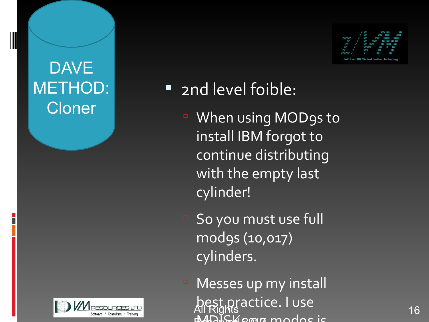### DAVE METHOD: **Cloner**





### **2nd level foible:**

- When using MOD9s to install IBM forgot to continue distributing with the empty last cylinder!
- So you must use full mod9s (10,017) cylinders.
- <sup>D</sup> Messes up my install best practice. I use MALKOMA modos is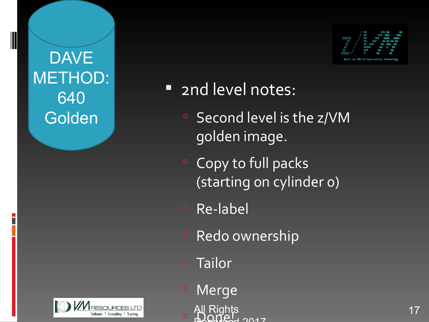**DAVE** METHOD: 640 Golden





### **2nd level notes:**

- Second level is the z/VM golden image.
- <sup>D</sup> Copy to full packs (starting on cylinder 0)
- Re-label
- **Redo ownership**
- <sup>n</sup> Tailor
- <sup>n</sup> Merge
- Pal Rights and the second to the second to the second to the second to the second to the second to the second t<br>■ Donel and the second to the second to the second to the second to the second to the second to the second to <u>Rights</u>  $3017$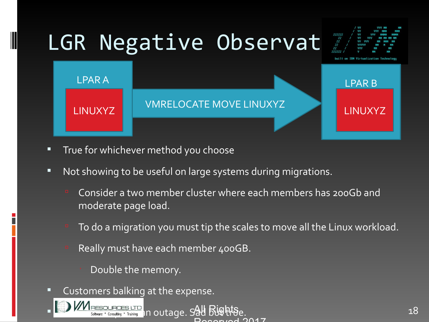

- **True for whichever method you choose**
- **Not showing to be useful on large systems during migrations.** 
	- Consider a two member cluster where each members has 200Gb and moderate page load.
	- To do a migration you must tip the scales to move all the Linux workload.

 $IOM7$ 

- Really must have each member 400GB.
	- Double the memory.
- **Customers balking at the expense.**

Software . Consulting ' Training 1 n outage. Sad Bughtse.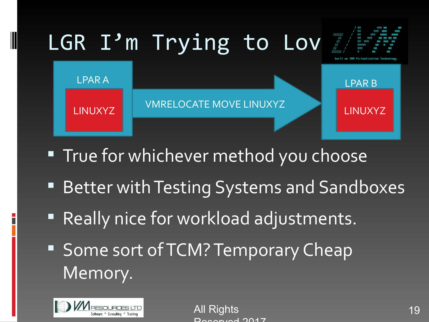

- **True for whichever method you choose**
- **Better with Testing Systems and Sandboxes**
- **Really nice for workload adjustments.**
- **Some sort of TCM? Temporary Cheap** Memory.



All Rights Deserved 2017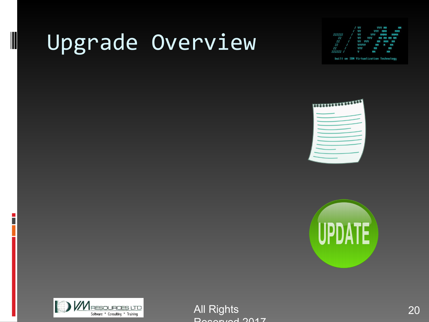# Upgrade Overview

|                                        |                           |  |  | / VV VVV MMM MMM        |
|----------------------------------------|---------------------------|--|--|-------------------------|
|                                        | 222222 / VV VVV MMMM MMMM |  |  |                         |
|                                        |                           |  |  | ZZ / VV VVV MM MM MM MM |
| 22 / VV VVV MM MMM MM                  |                           |  |  |                         |
| 22 / VVVVV MM M MM                     |                           |  |  |                         |
| 22 / VVV MM MM                         |                           |  |  |                         |
| 222222 / V MM MM                       |                           |  |  |                         |
| built on IBM Virtualization Technology |                           |  |  |                         |







All Rights 20 Reserved 2017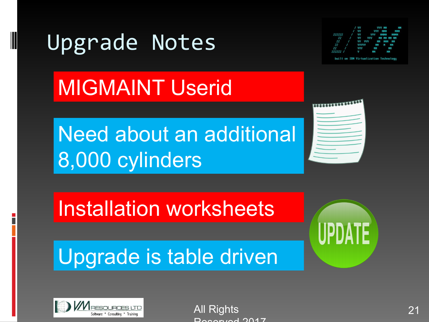### Upgrade Notes



built on IBM Virtualization Technology

# MIGMAINT Userid

Need about an additional 8,000 cylinders



### Installation worksheets

### Upgrade is table driven





All Rights Deserved 2017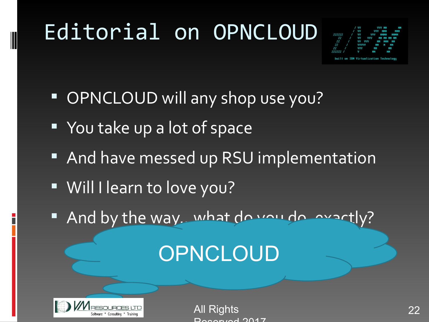# Editorial on OPNCLOUD



- **OPNCLOUD will any shop use you?**
- You take up a lot of space
- **And have messed up RSU implementation**
- Will I learn to love you?
- And by the way. what do you do, exactly?

### **OPNCLOUD**



All Rights 22 Deserved 2017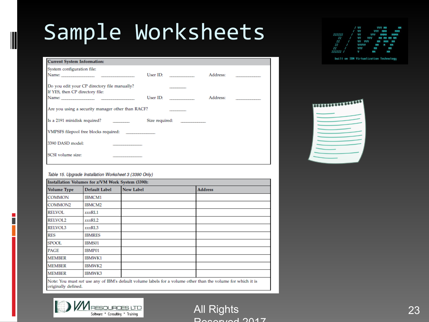# Sample Worksheets

|                           |  |  | / VV VVV MM MM   |
|---------------------------|--|--|------------------|
|                           |  |  | / VV VVV MMM MMM |
| 222222 / VV VVV MMMM MMMM |  |  |                  |
| 22 / VV VVV MMMMMMMMM     |  |  |                  |
| 22 / VV VVV MM MMM MM     |  |  |                  |
| 22 / VVVVV MM M MM        |  |  |                  |
| 22 / VVV MM MM            |  |  |                  |
| 222222 / V MM MM          |  |  |                  |
|                           |  |  |                  |

| <b>Current System Information:</b>                                                                                                                                                                                                                                                                                    |          |  |                                                                                                                                                                                                                                |  |  |
|-----------------------------------------------------------------------------------------------------------------------------------------------------------------------------------------------------------------------------------------------------------------------------------------------------------------------|----------|--|--------------------------------------------------------------------------------------------------------------------------------------------------------------------------------------------------------------------------------|--|--|
| System configuration file:                                                                                                                                                                                                                                                                                            |          |  |                                                                                                                                                                                                                                |  |  |
|                                                                                                                                                                                                                                                                                                                       | User ID: |  | Address: and the state of the state of the state of the state of the state of the state of the state of the state of the state of the state of the state of the state of the state of the state of the state of the state of t |  |  |
| Do you edit your CP directory file manually?                                                                                                                                                                                                                                                                          |          |  |                                                                                                                                                                                                                                |  |  |
| If YES, then CP directory file:                                                                                                                                                                                                                                                                                       |          |  |                                                                                                                                                                                                                                |  |  |
| Name: $\frac{1}{2}$ $\frac{1}{2}$ $\frac{1}{2}$ $\frac{1}{2}$ $\frac{1}{2}$ $\frac{1}{2}$ $\frac{1}{2}$ $\frac{1}{2}$ $\frac{1}{2}$ $\frac{1}{2}$ $\frac{1}{2}$ $\frac{1}{2}$ $\frac{1}{2}$ $\frac{1}{2}$ $\frac{1}{2}$ $\frac{1}{2}$ $\frac{1}{2}$ $\frac{1}{2}$ $\frac{1}{2}$ $\frac{1}{2}$ $\frac{1}{2}$ $\frac{1$ | User ID: |  | Address: and the state of the state of the state of the state of the state of the state of the state of the state of the state of the state of the state of the state of the state of the state of the state of the state of t |  |  |
| Are you using a security manager other than RACF?                                                                                                                                                                                                                                                                     |          |  |                                                                                                                                                                                                                                |  |  |
| Is a 2191 minidisk required?                                                                                                                                                                                                                                                                                          |          |  |                                                                                                                                                                                                                                |  |  |
| VMPSFS filepool free blocks required:                                                                                                                                                                                                                                                                                 |          |  |                                                                                                                                                                                                                                |  |  |
| 3390 DASD model:                                                                                                                                                                                                                                                                                                      |          |  |                                                                                                                                                                                                                                |  |  |
| SCSI volume size:                                                                                                                                                                                                                                                                                                     |          |  |                                                                                                                                                                                                                                |  |  |
|                                                                                                                                                                                                                                                                                                                       |          |  |                                                                                                                                                                                                                                |  |  |

#### Table 15. Upgrade Installation Worksheet 3 (3390 Only)

| Installation Volumes for z/VM Work System (3390):                                                                                   |               |                  |                |  |  |
|-------------------------------------------------------------------------------------------------------------------------------------|---------------|------------------|----------------|--|--|
| <b>Volume Type</b>                                                                                                                  | Default Label | <b>New Label</b> | <b>Address</b> |  |  |
| <b>COMMON</b>                                                                                                                       | <b>IBMCM1</b> |                  |                |  |  |
| COMMON2                                                                                                                             | IBMCM2        |                  |                |  |  |
| <b>RELVOL</b>                                                                                                                       | xxxRL1        |                  |                |  |  |
| <b>RELVOL2</b>                                                                                                                      | xxxRL2        |                  |                |  |  |
| <b>RELVOL3</b>                                                                                                                      | xxxRL3        |                  |                |  |  |
| <b>RES</b>                                                                                                                          | <b>IBMRES</b> |                  |                |  |  |
| <b>SPOOL</b>                                                                                                                        | IBMS01        |                  |                |  |  |
| <b>PAGE</b>                                                                                                                         | IBMP01        |                  |                |  |  |
| <b>MEMBER</b>                                                                                                                       | <b>IBMWK1</b> |                  |                |  |  |
| <b>MEMBER</b>                                                                                                                       | IBMWK2        |                  |                |  |  |
| <b>MEMBER</b>                                                                                                                       | <b>IBMWK3</b> |                  |                |  |  |
| Note: You must not use any of IBM's default volume labels for a volume other than the volume for which it is<br>originally defined. |               |                  |                |  |  |





All Rights 23 Depended 2017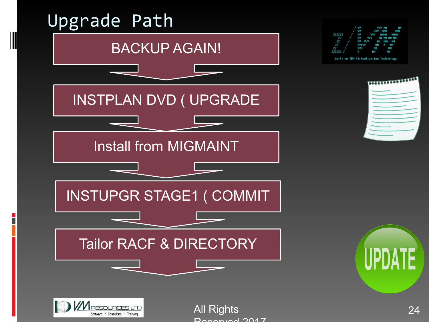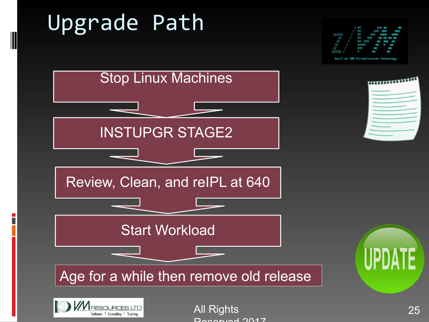# Upgrade Path



Stop Linux Machines \*\*\*\*\*\*\*\*\*\*\*\*\*\*\*\*\* INSTUPGR STAGE2 Review, Clean, and reIPL at 640 Start Workload UPDA Age for a while then remove old release



All Rights 25 Deserved 2017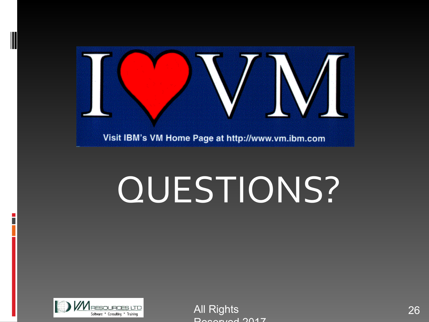

# QUESTIONS?



All Rights 26 Deserved 2017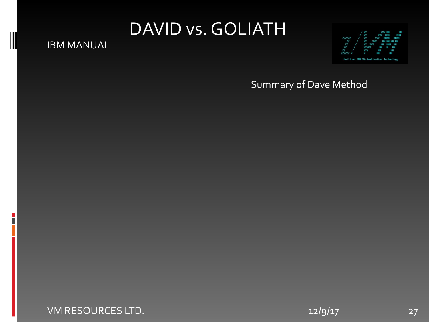### DAVID vs. GOLIATH

#### IBM MANUAL



#### Summary of Dave Method

#### VM RESOURCES LTD. 27 and 2012/9/17 27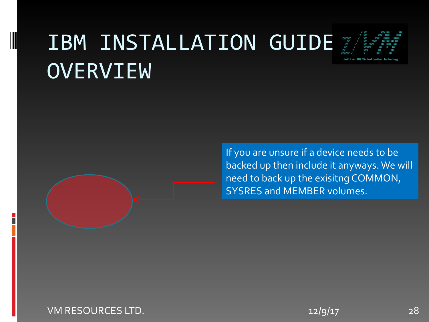# IBM INSTALLATION GUIDE **OVERVIEW**



If you are unsure if a device needs to be backed up then include it anyways. We will need to back up the exisitng COMMON, SYSRES and MEMBER volumes.

VM RESOURCES LTD. 28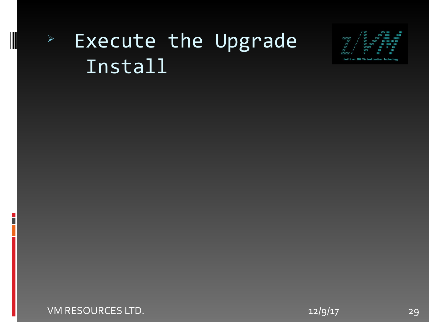### **Execute the Upgrade** Install



#### VM RESOURCES LTD. 29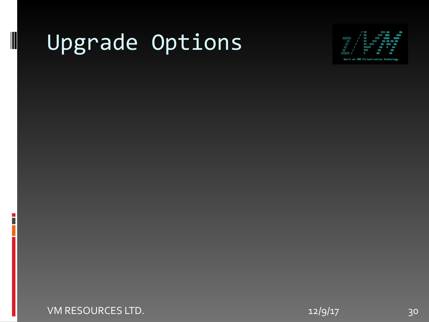# Upgrade Options



VM RESOURCES LTD. 2012 12/9/17 22/9/17 20:00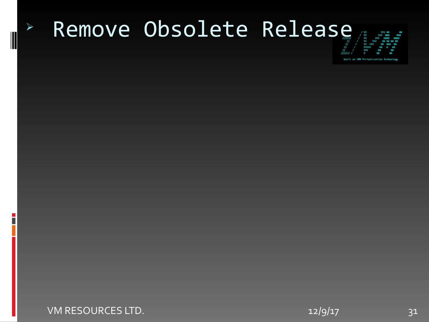### <sup>Ø</sup> Remove Obsolete Release



VM RESOURCES LTD. 212/9/17 31